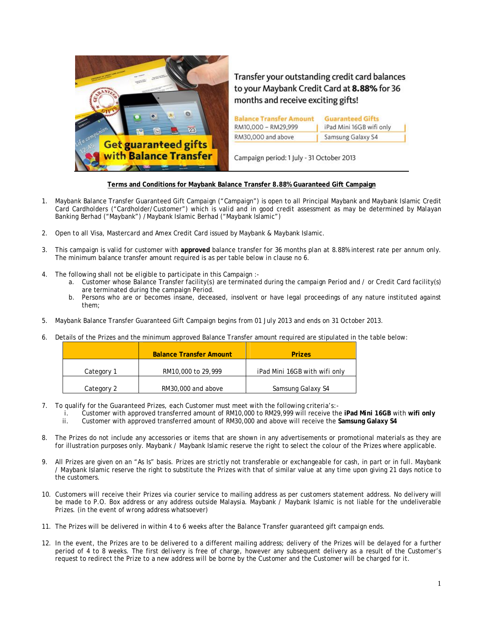

Transfer your outstanding credit card balances to your Maybank Credit Card at 8.88% for 36 months and receive exciting gifts!

| <b>Balance Transfer Amount</b> | <b>Guaranteed Gifts</b>  |
|--------------------------------|--------------------------|
| RM10,000 - RM29,999            | iPad Mini 16GB wifi only |
| RM30,000 and above             | Samsung Galaxy S4        |

Campaign period: 1 July - 31 October 2013

## **Terms and Conditions for Maybank Balance Transfer 8.88% Guaranteed Gift Campaign**

- 1. Maybank Balance Transfer Guaranteed Gift Campaign ("Campaign") is open to all Principal Maybank and Maybank Islamic Credit Card Cardholders ("Cardholder/Customer") which is valid and in good credit assessment as may be determined by Malayan Banking Berhad ("Maybank") /Maybank Islamic Berhad ("Maybank Islamic")
- 2. Open to all Visa, Mastercard and Amex Credit Card issued by Maybank & Maybank Islamic.
- 3. This campaign is valid for customer with **approved** balance transfer for 36 months plan at 8.88% interest rate per annum only. The minimum balance transfer amount required is as per table below in clause no 6.
- 4. The following shall not be eligible to participate in this Campaign :
	- a. Customer whose Balance Transfer facility(s) are terminated during the campaign Period and / or Credit Card facility(s) are terminated during the campaign Period.
	- b. Persons who are or becomes insane, deceased, insolvent or have legal proceedings of any nature instituted against them;
- 5. Maybank Balance Transfer Guaranteed Gift Campaign begins from 01 July 2013 and ends on 31 October 2013.
- 6. Details of the Prizes and the minimum approved Balance Transfer amount required are stipulated in the table below:

|            | <b>Balance Transfer Amount</b> | <b>Prizes</b>                 |
|------------|--------------------------------|-------------------------------|
| Category 1 | RM10,000 to 29,999             | iPad Mini 16GB with wifi only |
| Category 2 | RM30,000 and above             | Samsung Galaxy S4             |

- 7. To qualify for the Guaranteed Prizes, each Customer must meet with the following criteria's:
	- i. Customer with approved transferred amount of RM10,000 to RM29,999 will receive the **iPad Mini 16GB** with **wifi only**
	- ii. Customer with approved transferred amount of RM30,000 and above will receive the **Samsung Galaxy S4**
- 8. The Prizes do not include any accessories or items that are shown in any advertisements or promotional materials as they are for illustration purposes only. Maybank / Maybank Islamic reserve the right to select the colour of the Prizes where applicable.
- 9. All Prizes are given on an "As Is" basis. Prizes are strictly not transferable or exchangeable for cash, in part or in full. Maybank / Maybank Islamic reserve the right to substitute the Prizes with that of similar value at any time upon giving 21 days notice to the customers.
- 10. Customers will receive their Prizes via courier service to mailing address as per customers statement address. No delivery will be made to P.O. Box address or any address outside Malaysia. Maybank / Maybank Islamic is not liable for the undeliverable Prizes. (in the event of wrong address whatsoever)
- 11. The Prizes will be delivered in within 4 to 6 weeks after the Balance Transfer guaranteed gift campaign ends.
- 12. In the event, the Prizes are to be delivered to a different mailing address; delivery of the Prizes will be delayed for a further period of 4 to 8 weeks. The first delivery is free of charge, however any subsequent delivery as a result of the Customer's request to redirect the Prize to a new address will be borne by the Customer and the Customer will be charged for it.